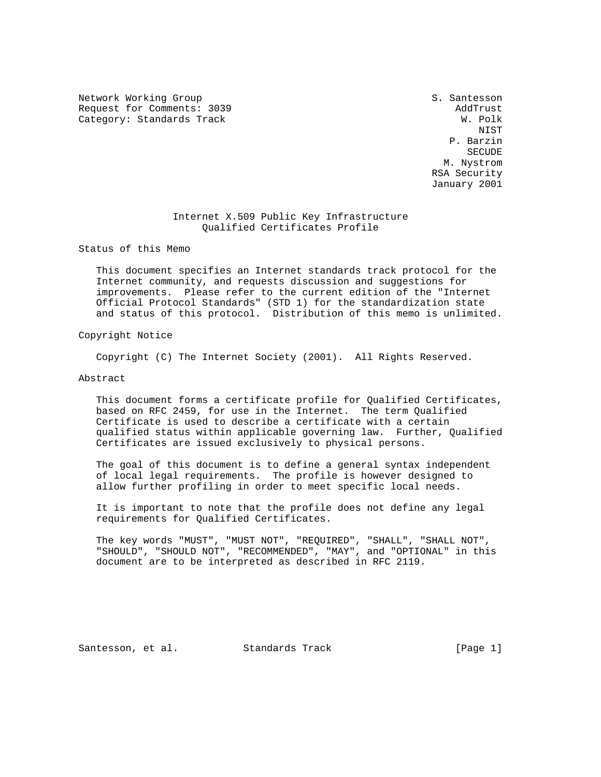Network Working Group S. Santesson Request for Comments: 3039<br>Category: Standards Track and the comments of the category: Standards Track Category: Standards Track

 NIST P. Barzin  $S$ ECUDE $S$  M. Nystrom RSA Security January 2001

# Internet X.509 Public Key Infrastructure Qualified Certificates Profile

Status of this Memo

 This document specifies an Internet standards track protocol for the Internet community, and requests discussion and suggestions for improvements. Please refer to the current edition of the "Internet Official Protocol Standards" (STD 1) for the standardization state and status of this protocol. Distribution of this memo is unlimited.

Copyright Notice

Copyright (C) The Internet Society (2001). All Rights Reserved.

## Abstract

 This document forms a certificate profile for Qualified Certificates, based on RFC 2459, for use in the Internet. The term Qualified Certificate is used to describe a certificate with a certain qualified status within applicable governing law. Further, Qualified Certificates are issued exclusively to physical persons.

 The goal of this document is to define a general syntax independent of local legal requirements. The profile is however designed to allow further profiling in order to meet specific local needs.

 It is important to note that the profile does not define any legal requirements for Qualified Certificates.

 The key words "MUST", "MUST NOT", "REQUIRED", "SHALL", "SHALL NOT", "SHOULD", "SHOULD NOT", "RECOMMENDED", "MAY", and "OPTIONAL" in this document are to be interpreted as described in RFC 2119.

Santesson, et al. Standards Track [Page 1]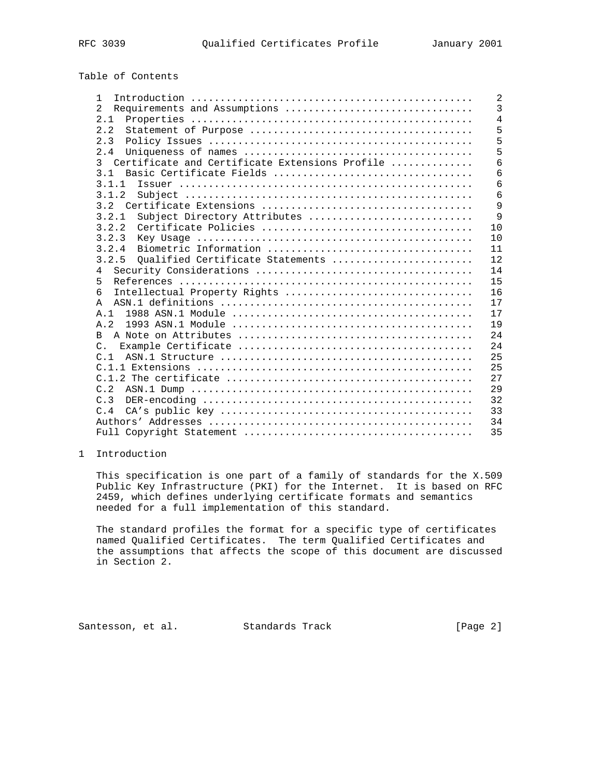| RFM | 039 |
|-----|-----|
|-----|-----|

# Table of Contents

| $\mathbf{1}$                                                    | 2              |
|-----------------------------------------------------------------|----------------|
| Requirements and Assumptions<br>$\mathcal{L}$                   | 3              |
| 2.1                                                             | $\overline{4}$ |
| 2.2                                                             | 5              |
| 2.3                                                             | 5              |
| 2.4                                                             | 5              |
| Certificate and Certificate Extensions Profile<br>$\mathcal{L}$ | 6              |
| Basic Certificate Fields<br>3 <sub>1</sub>                      | 6              |
| 3.1.1                                                           | 6              |
| 3.1.2                                                           | 6              |
| 3.2                                                             | 9              |
| Subject Directory Attributes<br>3.2.1                           | $\mathsf{Q}$   |
| 3.2.2                                                           | 1 <sub>0</sub> |
| 3.2.3                                                           | 10             |
| 3.2.4                                                           | 11             |
| Qualified Certificate Statements<br>3.2.5                       | 12             |
| 4                                                               | 14             |
| 5                                                               | 15             |
| б<br>Intellectual Property Rights                               | 16             |
| A                                                               | 17             |
|                                                                 | 17             |
| A.2                                                             | 19             |
| B.                                                              | 24             |
| $C_{\cdot}$                                                     | 24             |
| C.1                                                             | 25             |
|                                                                 | 2.5            |
|                                                                 | 27             |
| C.2                                                             | 29             |
| C.3                                                             | 32             |
| C.4                                                             | 33             |
|                                                                 | 34             |
|                                                                 | 35             |

# 1 Introduction

 This specification is one part of a family of standards for the X.509 Public Key Infrastructure (PKI) for the Internet. It is based on RFC 2459, which defines underlying certificate formats and semantics needed for a full implementation of this standard.

 The standard profiles the format for a specific type of certificates named Qualified Certificates. The term Qualified Certificates and the assumptions that affects the scope of this document are discussed in Section 2.

Santesson, et al. Standards Track [Page 2]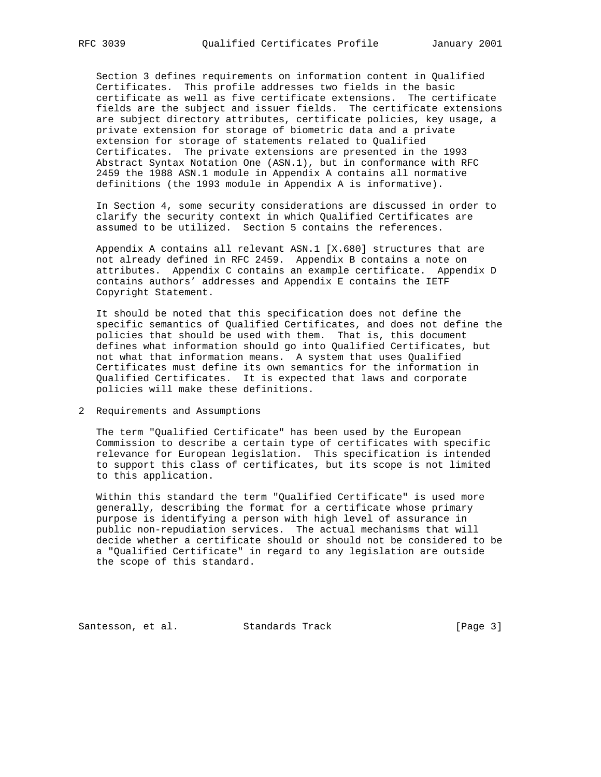Section 3 defines requirements on information content in Qualified Certificates. This profile addresses two fields in the basic certificate as well as five certificate extensions. The certificate fields are the subject and issuer fields. The certificate extensions are subject directory attributes, certificate policies, key usage, a private extension for storage of biometric data and a private extension for storage of statements related to Qualified Certificates. The private extensions are presented in the 1993 Abstract Syntax Notation One (ASN.1), but in conformance with RFC 2459 the 1988 ASN.1 module in Appendix A contains all normative definitions (the 1993 module in Appendix A is informative).

 In Section 4, some security considerations are discussed in order to clarify the security context in which Qualified Certificates are assumed to be utilized. Section 5 contains the references.

 Appendix A contains all relevant ASN.1 [X.680] structures that are not already defined in RFC 2459. Appendix B contains a note on attributes. Appendix C contains an example certificate. Appendix D contains authors' addresses and Appendix E contains the IETF Copyright Statement.

 It should be noted that this specification does not define the specific semantics of Qualified Certificates, and does not define the policies that should be used with them. That is, this document defines what information should go into Qualified Certificates, but not what that information means. A system that uses Qualified Certificates must define its own semantics for the information in Qualified Certificates. It is expected that laws and corporate policies will make these definitions.

2 Requirements and Assumptions

 The term "Qualified Certificate" has been used by the European Commission to describe a certain type of certificates with specific relevance for European legislation. This specification is intended to support this class of certificates, but its scope is not limited to this application.

 Within this standard the term "Qualified Certificate" is used more generally, describing the format for a certificate whose primary purpose is identifying a person with high level of assurance in public non-repudiation services. The actual mechanisms that will decide whether a certificate should or should not be considered to be a "Qualified Certificate" in regard to any legislation are outside the scope of this standard.

Santesson, et al. Standards Track [Page 3]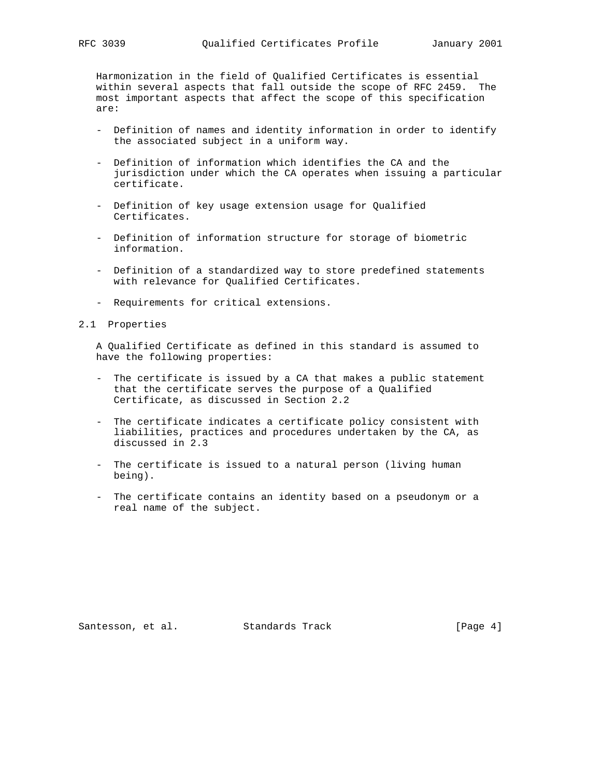Harmonization in the field of Qualified Certificates is essential within several aspects that fall outside the scope of RFC 2459. The most important aspects that affect the scope of this specification are:

- Definition of names and identity information in order to identify the associated subject in a uniform way.
- Definition of information which identifies the CA and the jurisdiction under which the CA operates when issuing a particular certificate.
- Definition of key usage extension usage for Qualified Certificates.
- Definition of information structure for storage of biometric information.
- Definition of a standardized way to store predefined statements with relevance for Qualified Certificates.
- Requirements for critical extensions.
- 2.1 Properties

 A Qualified Certificate as defined in this standard is assumed to have the following properties:

- The certificate is issued by a CA that makes a public statement that the certificate serves the purpose of a Qualified Certificate, as discussed in Section 2.2
- The certificate indicates a certificate policy consistent with liabilities, practices and procedures undertaken by the CA, as discussed in 2.3
- The certificate is issued to a natural person (living human being).
- The certificate contains an identity based on a pseudonym or a real name of the subject.

Santesson, et al. Standards Track [Page 4]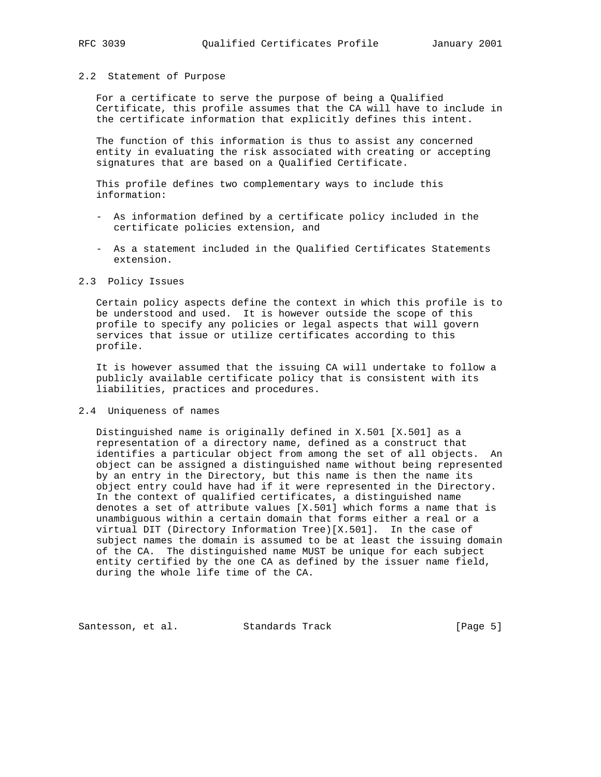## 2.2 Statement of Purpose

 For a certificate to serve the purpose of being a Qualified Certificate, this profile assumes that the CA will have to include in the certificate information that explicitly defines this intent.

 The function of this information is thus to assist any concerned entity in evaluating the risk associated with creating or accepting signatures that are based on a Qualified Certificate.

 This profile defines two complementary ways to include this information:

- As information defined by a certificate policy included in the certificate policies extension, and
- As a statement included in the Qualified Certificates Statements extension.

## 2.3 Policy Issues

 Certain policy aspects define the context in which this profile is to be understood and used. It is however outside the scope of this profile to specify any policies or legal aspects that will govern services that issue or utilize certificates according to this profile.

 It is however assumed that the issuing CA will undertake to follow a publicly available certificate policy that is consistent with its liabilities, practices and procedures.

## 2.4 Uniqueness of names

 Distinguished name is originally defined in X.501 [X.501] as a representation of a directory name, defined as a construct that identifies a particular object from among the set of all objects. An object can be assigned a distinguished name without being represented by an entry in the Directory, but this name is then the name its object entry could have had if it were represented in the Directory. In the context of qualified certificates, a distinguished name denotes a set of attribute values [X.501] which forms a name that is unambiguous within a certain domain that forms either a real or a virtual DIT (Directory Information Tree)[X.501]. In the case of subject names the domain is assumed to be at least the issuing domain of the CA. The distinguished name MUST be unique for each subject entity certified by the one CA as defined by the issuer name field, during the whole life time of the CA.

Santesson, et al. Standards Track [Page 5]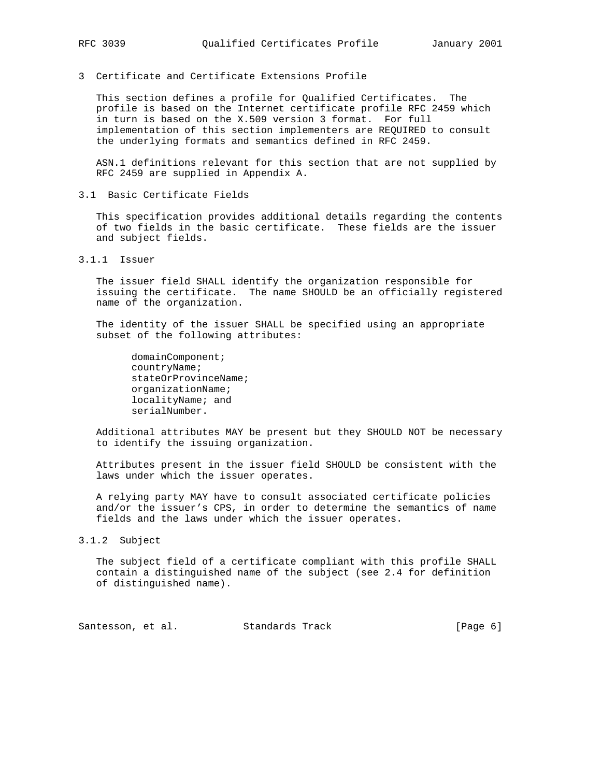3 Certificate and Certificate Extensions Profile

 This section defines a profile for Qualified Certificates. The profile is based on the Internet certificate profile RFC 2459 which in turn is based on the X.509 version 3 format. For full implementation of this section implementers are REQUIRED to consult the underlying formats and semantics defined in RFC 2459.

 ASN.1 definitions relevant for this section that are not supplied by RFC 2459 are supplied in Appendix A.

3.1 Basic Certificate Fields

 This specification provides additional details regarding the contents of two fields in the basic certificate. These fields are the issuer and subject fields.

3.1.1 Issuer

 The issuer field SHALL identify the organization responsible for issuing the certificate. The name SHOULD be an officially registered name of the organization.

 The identity of the issuer SHALL be specified using an appropriate subset of the following attributes:

 domainComponent; countryName; stateOrProvinceName; organizationName; localityName; and serialNumber.

 Additional attributes MAY be present but they SHOULD NOT be necessary to identify the issuing organization.

 Attributes present in the issuer field SHOULD be consistent with the laws under which the issuer operates.

 A relying party MAY have to consult associated certificate policies and/or the issuer's CPS, in order to determine the semantics of name fields and the laws under which the issuer operates.

3.1.2 Subject

 The subject field of a certificate compliant with this profile SHALL contain a distinguished name of the subject (see 2.4 for definition of distinguished name).

Santesson, et al. Standards Track [Page 6]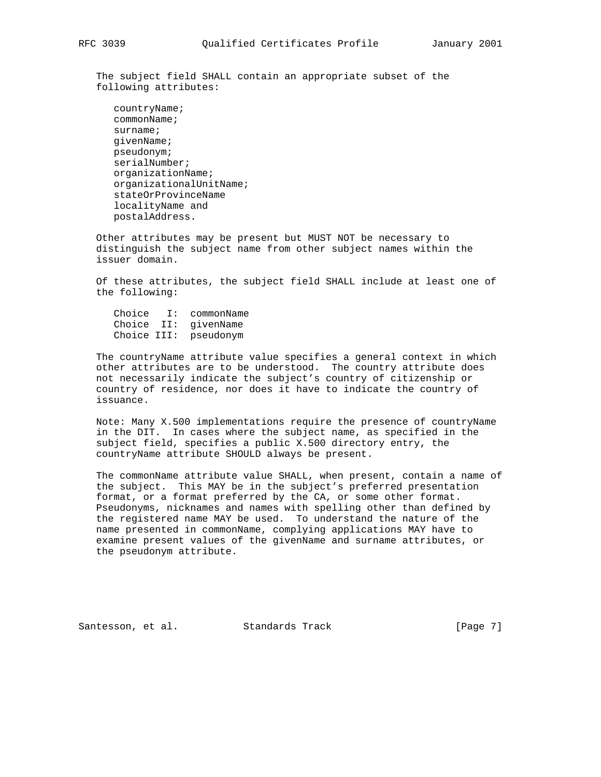The subject field SHALL contain an appropriate subset of the following attributes:

 countryName; commonName; surname; givenName; pseudonym; serialNumber; organizationName; organizationalUnitName; stateOrProvinceName localityName and postalAddress.

 Other attributes may be present but MUST NOT be necessary to distinguish the subject name from other subject names within the issuer domain.

 Of these attributes, the subject field SHALL include at least one of the following:

 Choice I: commonName Choice II: givenName Choice III: pseudonym

 The countryName attribute value specifies a general context in which other attributes are to be understood. The country attribute does not necessarily indicate the subject's country of citizenship or country of residence, nor does it have to indicate the country of issuance.

 Note: Many X.500 implementations require the presence of countryName in the DIT. In cases where the subject name, as specified in the subject field, specifies a public X.500 directory entry, the countryName attribute SHOULD always be present.

 The commonName attribute value SHALL, when present, contain a name of the subject. This MAY be in the subject's preferred presentation format, or a format preferred by the CA, or some other format. Pseudonyms, nicknames and names with spelling other than defined by the registered name MAY be used. To understand the nature of the name presented in commonName, complying applications MAY have to examine present values of the givenName and surname attributes, or the pseudonym attribute.

Santesson, et al. Standards Track [Page 7]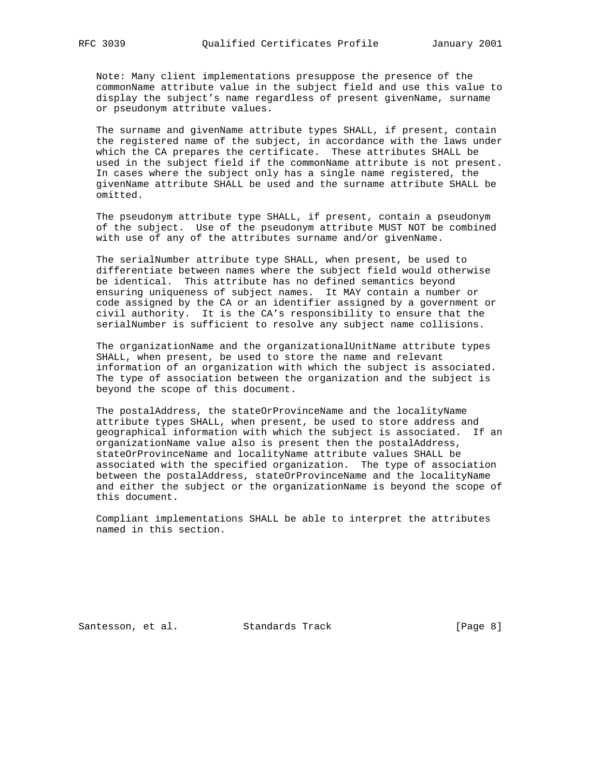Note: Many client implementations presuppose the presence of the commonName attribute value in the subject field and use this value to display the subject's name regardless of present givenName, surname or pseudonym attribute values.

 The surname and givenName attribute types SHALL, if present, contain the registered name of the subject, in accordance with the laws under which the CA prepares the certificate. These attributes SHALL be used in the subject field if the commonName attribute is not present. In cases where the subject only has a single name registered, the givenName attribute SHALL be used and the surname attribute SHALL be omitted.

 The pseudonym attribute type SHALL, if present, contain a pseudonym of the subject. Use of the pseudonym attribute MUST NOT be combined with use of any of the attributes surname and/or givenName.

 The serialNumber attribute type SHALL, when present, be used to differentiate between names where the subject field would otherwise be identical. This attribute has no defined semantics beyond ensuring uniqueness of subject names. It MAY contain a number or code assigned by the CA or an identifier assigned by a government or civil authority. It is the CA's responsibility to ensure that the serialNumber is sufficient to resolve any subject name collisions.

 The organizationName and the organizationalUnitName attribute types SHALL, when present, be used to store the name and relevant information of an organization with which the subject is associated. The type of association between the organization and the subject is beyond the scope of this document.

 The postalAddress, the stateOrProvinceName and the localityName attribute types SHALL, when present, be used to store address and geographical information with which the subject is associated. If an organizationName value also is present then the postalAddress, stateOrProvinceName and localityName attribute values SHALL be associated with the specified organization. The type of association between the postalAddress, stateOrProvinceName and the localityName and either the subject or the organizationName is beyond the scope of this document.

 Compliant implementations SHALL be able to interpret the attributes named in this section.

Santesson, et al. Standards Track [Page 8]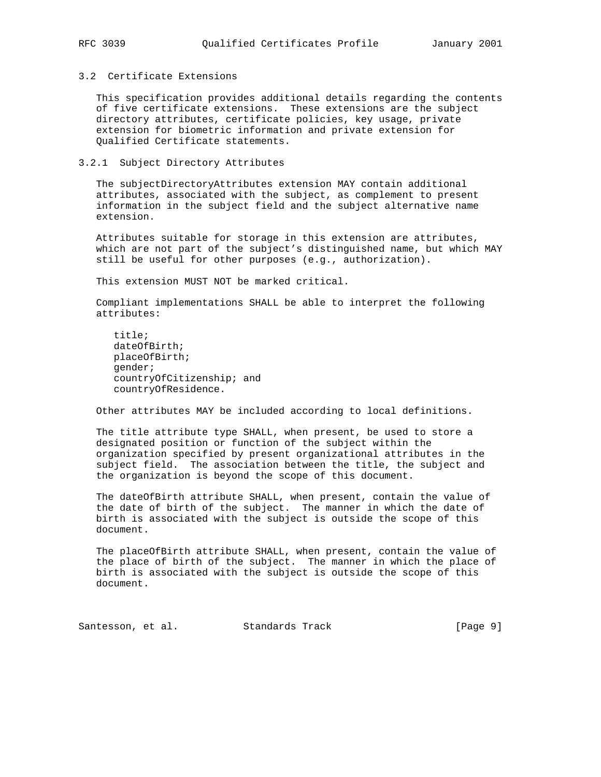## 3.2 Certificate Extensions

 This specification provides additional details regarding the contents of five certificate extensions. These extensions are the subject directory attributes, certificate policies, key usage, private extension for biometric information and private extension for Qualified Certificate statements.

## 3.2.1 Subject Directory Attributes

 The subjectDirectoryAttributes extension MAY contain additional attributes, associated with the subject, as complement to present information in the subject field and the subject alternative name extension.

 Attributes suitable for storage in this extension are attributes, which are not part of the subject's distinguished name, but which MAY still be useful for other purposes (e.g., authorization).

This extension MUST NOT be marked critical.

 Compliant implementations SHALL be able to interpret the following attributes:

 title; dateOfBirth; placeOfBirth; gender; countryOfCitizenship; and countryOfResidence.

Other attributes MAY be included according to local definitions.

 The title attribute type SHALL, when present, be used to store a designated position or function of the subject within the organization specified by present organizational attributes in the subject field. The association between the title, the subject and the organization is beyond the scope of this document.

 The dateOfBirth attribute SHALL, when present, contain the value of the date of birth of the subject. The manner in which the date of birth is associated with the subject is outside the scope of this document.

 The placeOfBirth attribute SHALL, when present, contain the value of the place of birth of the subject. The manner in which the place of birth is associated with the subject is outside the scope of this document.

Santesson, et al. Standards Track [Page 9]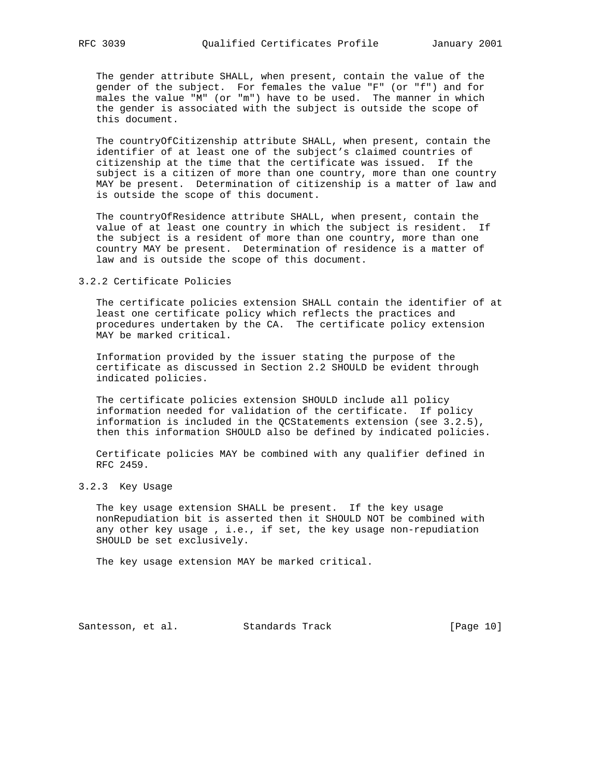The gender attribute SHALL, when present, contain the value of the gender of the subject. For females the value "F" (or "f") and for males the value "M" (or "m") have to be used. The manner in which the gender is associated with the subject is outside the scope of this document.

 The countryOfCitizenship attribute SHALL, when present, contain the identifier of at least one of the subject's claimed countries of citizenship at the time that the certificate was issued. If the subject is a citizen of more than one country, more than one country MAY be present. Determination of citizenship is a matter of law and is outside the scope of this document.

 The countryOfResidence attribute SHALL, when present, contain the value of at least one country in which the subject is resident. If the subject is a resident of more than one country, more than one country MAY be present. Determination of residence is a matter of law and is outside the scope of this document.

3.2.2 Certificate Policies

 The certificate policies extension SHALL contain the identifier of at least one certificate policy which reflects the practices and procedures undertaken by the CA. The certificate policy extension MAY be marked critical.

 Information provided by the issuer stating the purpose of the certificate as discussed in Section 2.2 SHOULD be evident through indicated policies.

 The certificate policies extension SHOULD include all policy information needed for validation of the certificate. If policy information is included in the QCStatements extension (see 3.2.5), then this information SHOULD also be defined by indicated policies.

 Certificate policies MAY be combined with any qualifier defined in RFC 2459.

3.2.3 Key Usage

 The key usage extension SHALL be present. If the key usage nonRepudiation bit is asserted then it SHOULD NOT be combined with any other key usage , i.e., if set, the key usage non-repudiation SHOULD be set exclusively.

The key usage extension MAY be marked critical.

Santesson, et al. Standards Track [Page 10]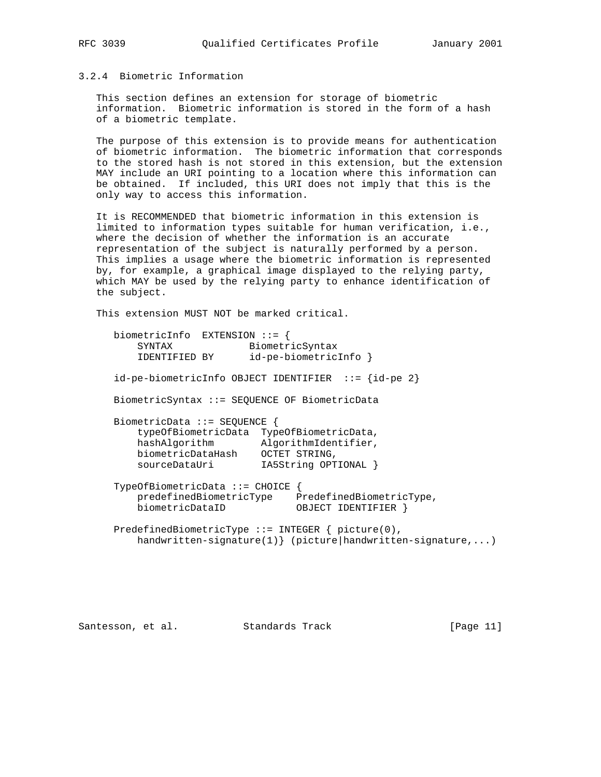# 3.2.4 Biometric Information

 This section defines an extension for storage of biometric information. Biometric information is stored in the form of a hash of a biometric template.

 The purpose of this extension is to provide means for authentication of biometric information. The biometric information that corresponds to the stored hash is not stored in this extension, but the extension MAY include an URI pointing to a location where this information can be obtained. If included, this URI does not imply that this is the only way to access this information.

 It is RECOMMENDED that biometric information in this extension is limited to information types suitable for human verification, i.e., where the decision of whether the information is an accurate representation of the subject is naturally performed by a person. This implies a usage where the biometric information is represented by, for example, a graphical image displayed to the relying party, which MAY be used by the relying party to enhance identification of the subject.

This extension MUST NOT be marked critical.

| biometricInfo EXTENSION ::=<br>SYNTAX<br>IDENTIFIED BY                                                                           | BiometricSyntax<br>id-pe-biometricInfo }                        |
|----------------------------------------------------------------------------------------------------------------------------------|-----------------------------------------------------------------|
| $id-pe-biometricInfo OBJECT IDENTIFYER :: = \{id-pe 2\}$                                                                         |                                                                 |
| BiometricSyntax ::= SEQUENCE OF BiometricData                                                                                    |                                                                 |
| $BiometricData :: = SEQUENCE$<br>typeOfBiometricData TypeOfBiometricData,<br>hashAlqorithm<br>biometricDataHash<br>sourceDataUri | AlgorithmIdentifier,<br>OCTET STRING,<br>IA5String OPTIONAL }   |
| $TypeOfBiometricData :: = CHOICE$<br>predefinedBiometricType<br>biometricDataID                                                  | PredefinedBiometricType,<br>OBJECT IDENTIFIER                   |
| PredefinedBiometricType ::= INTEGER $\{$ picture(0),                                                                             | $handwritten-signature(1)$ } (picture   handwritten-signature,) |

Santesson, et al. Standards Track [Page 11]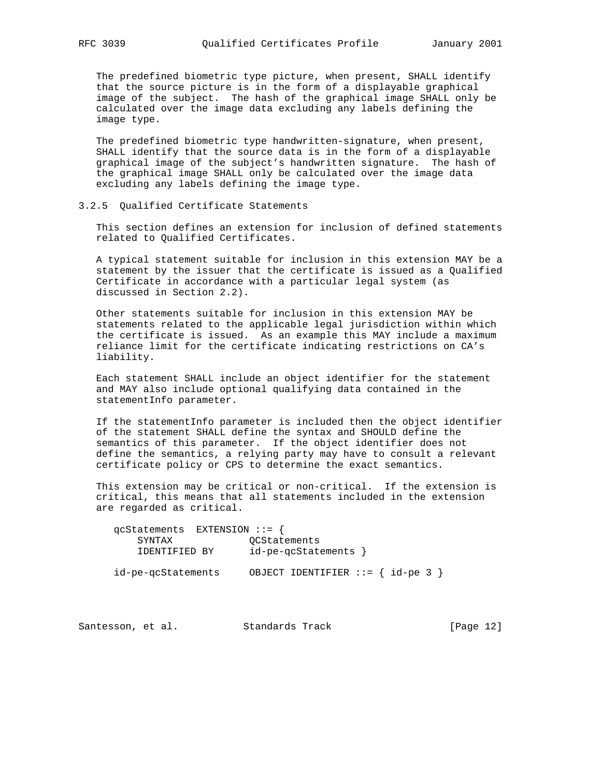The predefined biometric type picture, when present, SHALL identify that the source picture is in the form of a displayable graphical image of the subject. The hash of the graphical image SHALL only be calculated over the image data excluding any labels defining the image type.

 The predefined biometric type handwritten-signature, when present, SHALL identify that the source data is in the form of a displayable graphical image of the subject's handwritten signature. The hash of the graphical image SHALL only be calculated over the image data excluding any labels defining the image type.

## 3.2.5 Qualified Certificate Statements

 This section defines an extension for inclusion of defined statements related to Qualified Certificates.

 A typical statement suitable for inclusion in this extension MAY be a statement by the issuer that the certificate is issued as a Qualified Certificate in accordance with a particular legal system (as discussed in Section 2.2).

 Other statements suitable for inclusion in this extension MAY be statements related to the applicable legal jurisdiction within which the certificate is issued. As an example this MAY include a maximum reliance limit for the certificate indicating restrictions on CA's liability.

 Each statement SHALL include an object identifier for the statement and MAY also include optional qualifying data contained in the statementInfo parameter.

 If the statementInfo parameter is included then the object identifier of the statement SHALL define the syntax and SHOULD define the semantics of this parameter. If the object identifier does not define the semantics, a relying party may have to consult a relevant certificate policy or CPS to determine the exact semantics.

 This extension may be critical or non-critical. If the extension is critical, this means that all statements included in the extension are regarded as critical.

| $qcStatements$ EXTENSION ::= { |                      |                                     |  |
|--------------------------------|----------------------|-------------------------------------|--|
| SYNTAX                         | OCStatements         |                                     |  |
| IDENTIFIED BY                  | id-pe-qcStatements } |                                     |  |
| id-pe-qcStatements             |                      | OBJECT IDENTIFIER $::=$ { id-pe 3 } |  |

Santesson, et al. Standards Track [Page 12]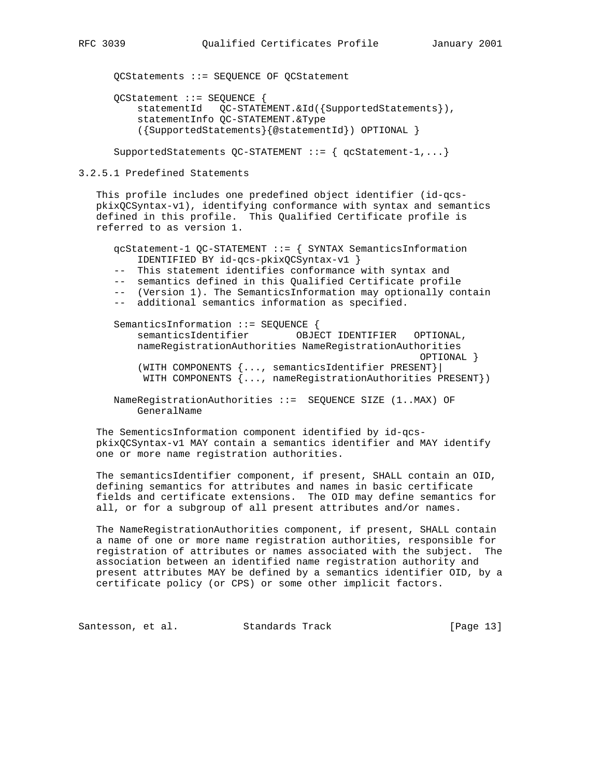QCStatements ::= SEQUENCE OF QCStatement QCStatement ::= SEQUENCE { statementId QC-STATEMENT.&Id({SupportedStatements}), statementInfo QC-STATEMENT.&Type ({SupportedStatements}{@statementId}) OPTIONAL }

SupportedStatements  $QC$ -STATEMENT ::= {  $qcStatement-1, ...$ }

3.2.5.1 Predefined Statements

 This profile includes one predefined object identifier (id-qcs pkixQCSyntax-v1), identifying conformance with syntax and semantics defined in this profile. This Qualified Certificate profile is referred to as version 1.

```
 qcStatement-1 QC-STATEMENT ::= { SYNTAX SemanticsInformation
    IDENTIFIED BY id-qcs-pkixQCSyntax-v1 }
 -- This statement identifies conformance with syntax and
 -- semantics defined in this Qualified Certificate profile
 -- (Version 1). The SemanticsInformation may optionally contain
 -- additional semantics information as specified.
SemanticsInformation ::= SEQUENCE {
    semanticsIdentifier OBJECT IDENTIFIER OPTIONAL,
     nameRegistrationAuthorities NameRegistrationAuthorities
                                                     OPTIONAL }
     (WITH COMPONENTS {..., semanticsIdentifier PRESENT}|
     WITH COMPONENTS {..., nameRegistrationAuthorities PRESENT})
 NameRegistrationAuthorities ::= SEQUENCE SIZE (1..MAX) OF
    GeneralName
```
 The SementicsInformation component identified by id-qcs pkixQCSyntax-v1 MAY contain a semantics identifier and MAY identify one or more name registration authorities.

 The semanticsIdentifier component, if present, SHALL contain an OID, defining semantics for attributes and names in basic certificate fields and certificate extensions. The OID may define semantics for all, or for a subgroup of all present attributes and/or names.

 The NameRegistrationAuthorities component, if present, SHALL contain a name of one or more name registration authorities, responsible for registration of attributes or names associated with the subject. The association between an identified name registration authority and present attributes MAY be defined by a semantics identifier OID, by a certificate policy (or CPS) or some other implicit factors.

Santesson, et al. Standards Track [Page 13]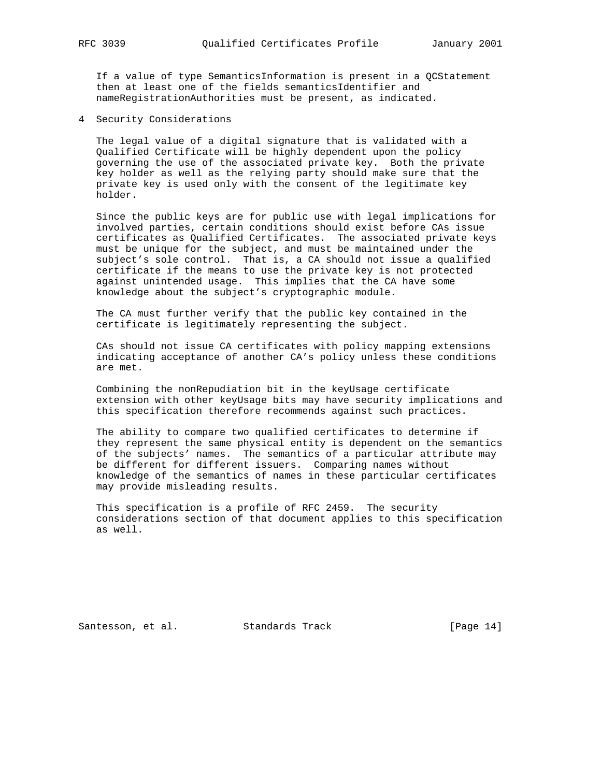If a value of type SemanticsInformation is present in a QCStatement then at least one of the fields semanticsIdentifier and nameRegistrationAuthorities must be present, as indicated.

4 Security Considerations

 The legal value of a digital signature that is validated with a Qualified Certificate will be highly dependent upon the policy governing the use of the associated private key. Both the private key holder as well as the relying party should make sure that the private key is used only with the consent of the legitimate key holder.

 Since the public keys are for public use with legal implications for involved parties, certain conditions should exist before CAs issue certificates as Qualified Certificates. The associated private keys must be unique for the subject, and must be maintained under the subject's sole control. That is, a CA should not issue a qualified certificate if the means to use the private key is not protected against unintended usage. This implies that the CA have some knowledge about the subject's cryptographic module.

 The CA must further verify that the public key contained in the certificate is legitimately representing the subject.

 CAs should not issue CA certificates with policy mapping extensions indicating acceptance of another CA's policy unless these conditions are met.

 Combining the nonRepudiation bit in the keyUsage certificate extension with other keyUsage bits may have security implications and this specification therefore recommends against such practices.

 The ability to compare two qualified certificates to determine if they represent the same physical entity is dependent on the semantics of the subjects' names. The semantics of a particular attribute may be different for different issuers. Comparing names without knowledge of the semantics of names in these particular certificates may provide misleading results.

 This specification is a profile of RFC 2459. The security considerations section of that document applies to this specification as well.

Santesson, et al. Standards Track [Page 14]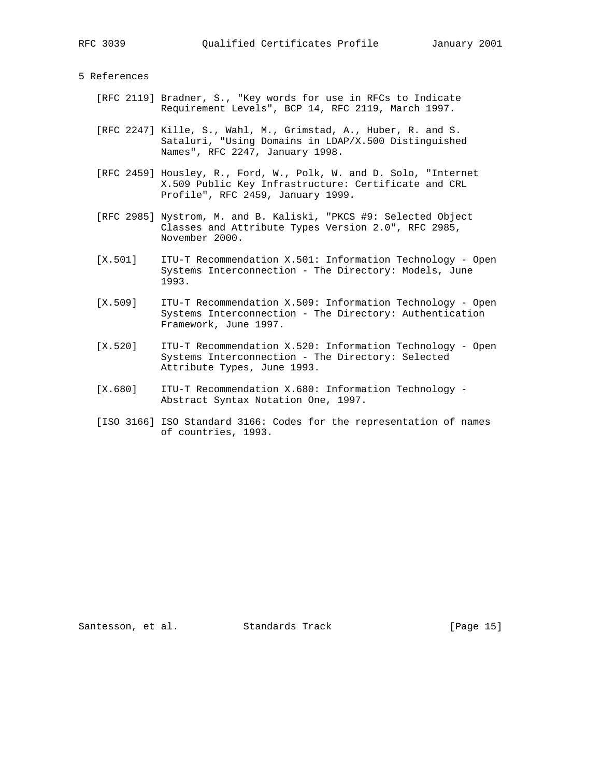# 5 References

- [RFC 2119] Bradner, S., "Key words for use in RFCs to Indicate Requirement Levels", BCP 14, RFC 2119, March 1997.
- [RFC 2247] Kille, S., Wahl, M., Grimstad, A., Huber, R. and S. Sataluri, "Using Domains in LDAP/X.500 Distinguished Names", RFC 2247, January 1998.
- [RFC 2459] Housley, R., Ford, W., Polk, W. and D. Solo, "Internet X.509 Public Key Infrastructure: Certificate and CRL Profile", RFC 2459, January 1999.
- [RFC 2985] Nystrom, M. and B. Kaliski, "PKCS #9: Selected Object Classes and Attribute Types Version 2.0", RFC 2985, November 2000.
- [X.501] ITU-T Recommendation X.501: Information Technology Open Systems Interconnection - The Directory: Models, June 1993.
- [X.509] ITU-T Recommendation X.509: Information Technology Open Systems Interconnection - The Directory: Authentication Framework, June 1997.
- [X.520] ITU-T Recommendation X.520: Information Technology Open Systems Interconnection - The Directory: Selected Attribute Types, June 1993.
- [X.680] ITU-T Recommendation X.680: Information Technology Abstract Syntax Notation One, 1997.
- [ISO 3166] ISO Standard 3166: Codes for the representation of names of countries, 1993.

Santesson, et al. Standards Track [Page 15]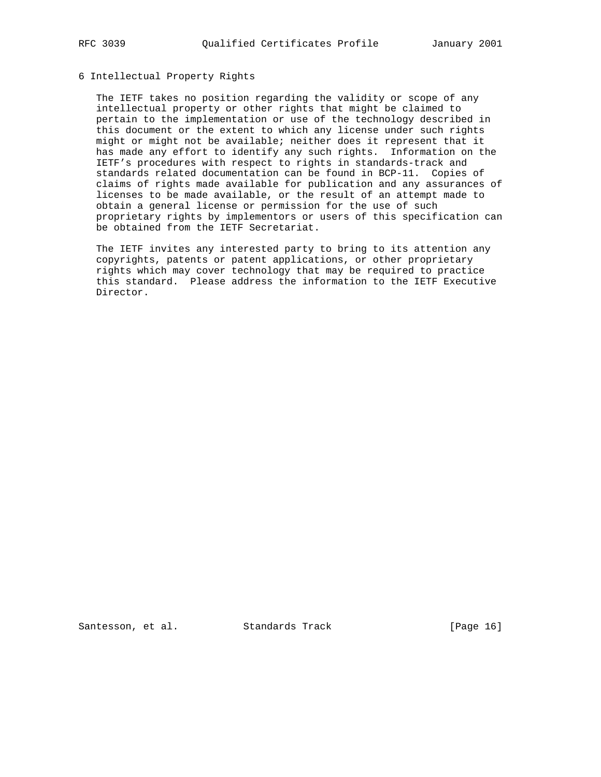# 6 Intellectual Property Rights

 The IETF takes no position regarding the validity or scope of any intellectual property or other rights that might be claimed to pertain to the implementation or use of the technology described in this document or the extent to which any license under such rights might or might not be available; neither does it represent that it has made any effort to identify any such rights. Information on the IETF's procedures with respect to rights in standards-track and standards related documentation can be found in BCP-11. Copies of claims of rights made available for publication and any assurances of licenses to be made available, or the result of an attempt made to obtain a general license or permission for the use of such proprietary rights by implementors or users of this specification can be obtained from the IETF Secretariat.

 The IETF invites any interested party to bring to its attention any copyrights, patents or patent applications, or other proprietary rights which may cover technology that may be required to practice this standard. Please address the information to the IETF Executive Director.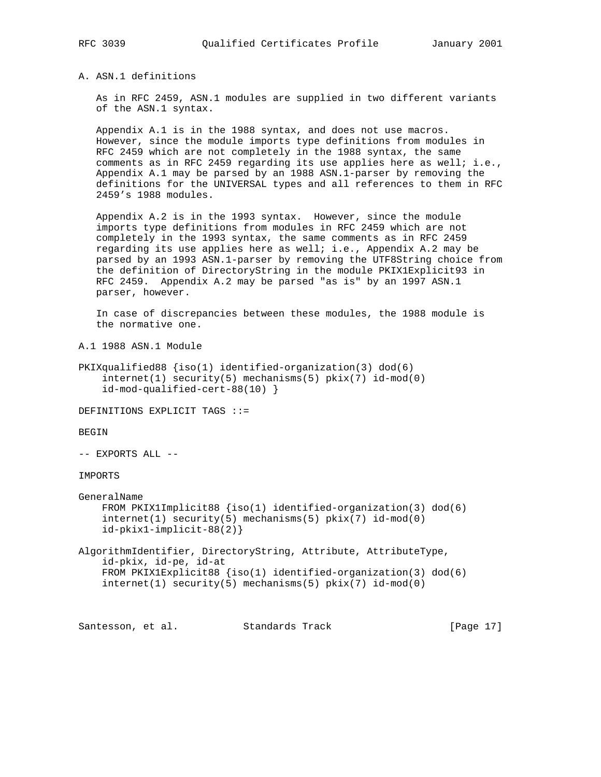# A. ASN.1 definitions

 As in RFC 2459, ASN.1 modules are supplied in two different variants of the ASN.1 syntax.

 Appendix A.1 is in the 1988 syntax, and does not use macros. However, since the module imports type definitions from modules in RFC 2459 which are not completely in the 1988 syntax, the same comments as in RFC 2459 regarding its use applies here as well; i.e., Appendix A.1 may be parsed by an 1988 ASN.1-parser by removing the definitions for the UNIVERSAL types and all references to them in RFC 2459's 1988 modules.

 Appendix A.2 is in the 1993 syntax. However, since the module imports type definitions from modules in RFC 2459 which are not completely in the 1993 syntax, the same comments as in RFC 2459 regarding its use applies here as well; i.e., Appendix A.2 may be parsed by an 1993 ASN.1-parser by removing the UTF8String choice from the definition of DirectoryString in the module PKIX1Explicit93 in RFC 2459. Appendix A.2 may be parsed "as is" by an 1997 ASN.1 parser, however.

 In case of discrepancies between these modules, the 1988 module is the normative one.

A.1 1988 ASN.1 Module

```
PKIXqualified88 {iso(1) identified-organization(3) dod(6)
     internet(1) security(5) mechanisms(5) pkix(7) id-mod(0)
     id-mod-qualified-cert-88(10) }
```
DEFINITIONS EXPLICIT TAGS ::=

## BEGIN

-- EXPORTS ALL --

### IMPORTS

```
GeneralName
    FROM PKIX1Implicit88 {iso(1) identified-organization(3) dod(6)
     internet(1) security(5) mechanisms(5) pkix(7) id-mod(0)
     id-pkix1-implicit-88(2)}
```
AlgorithmIdentifier, DirectoryString, Attribute, AttributeType, id-pkix, id-pe, id-at FROM PKIX1Explicit88 {iso(1) identified-organization(3) dod(6) internet(1) security(5) mechanisms(5) pkix(7) id-mod(0)

Santesson, et al. Standards Track [Page 17]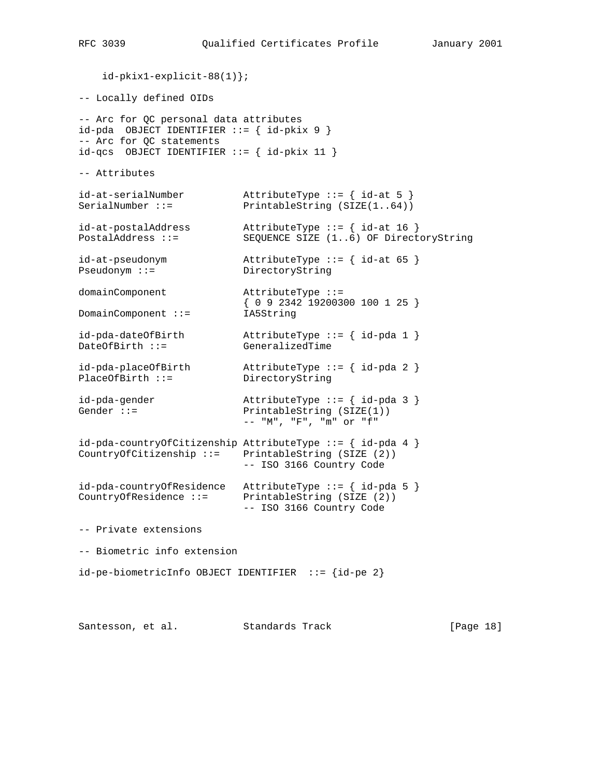id-pkix1-explicit-88(1)}; -- Locally defined OIDs -- Arc for QC personal data attributes  $id$ -pda OBJECT IDENTIFIER ::= {  $id$ -pkix 9 } -- Arc for QC statements  $id-qcs$  OBJECT IDENTIFIER ::= {  $id-pkix$  11 } -- Attributes id-at-serialNumber <br>
SerialNumber ::= <br>
PrintableString (SIZE(1..64)) PrintableString (SIZE(1..64)) id-at-postalAddress AttributeType ::= { id-at 16 } PostalAddress ::= SEQUENCE SIZE (1..6) OF DirectoryString id-at-pseudonym AttributeType ::= { id-at 65 } Pseudonym ::= DirectoryString domainComponent AttributeType ::= { 0 9 2342 19200300 100 1 25 } DomainComponent ::= IA5String id-pda-dateOfBirth AttributeType ::= { id-pda 1 } DateOfBirth ::= GeneralizedTime id-pda-placeOfBirth AttributeType ::= { id-pda 2 } PlaceOfBirth ::= DirectoryString id-pda-gender <br>AttributeType ::= { id-pda 3 } Gender ::= PrintableString (SIZE(1)) -- "M", "F", "m" or "f" id-pda-countryOfCitizenship AttributeType ::= { id-pda 4 } CountryOfCitizenship ::= PrintableString (SIZE (2)) -- ISO 3166 Country Code id-pda-countryOfResidence AttributeType ::= { id-pda 5 } CountryOfResidence ::= PrintableString (SIZE (2)) -- ISO 3166 Country Code -- Private extensions -- Biometric info extension  $id-pe-biometricInfo OBJECT IDENTIFYER ::= {id-pe 2}$ 

Santesson, et al. Standards Track [Page 18]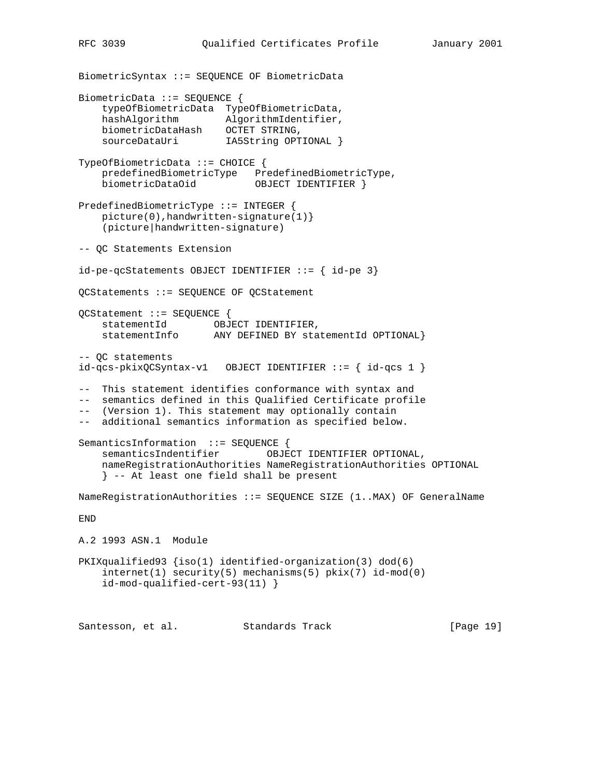BiometricSyntax ::= SEQUENCE OF BiometricData BiometricData ::= SEQUENCE { typeOfBiometricData TypeOfBiometricData, hashAlgorithm AlgorithmIdentifier, biometricDataHash OCTET STRING, sourceDataUri IA5String OPTIONAL } TypeOfBiometricData ::= CHOICE { predefinedBiometricType PredefinedBiometricType, biometricDataOid OBJECT IDENTIFIER } PredefinedBiometricType ::= INTEGER { picture(0),handwritten-signature(1)} (picture|handwritten-signature) -- QC Statements Extension id-pe-qcStatements OBJECT IDENTIFIER ::= { id-pe 3} QCStatements ::= SEQUENCE OF QCStatement QCStatement ::= SEQUENCE { statementId OBJECT IDENTIFIER, statementInfo ANY DEFINED BY statementId OPTIONAL} -- QC statements id-qcs-pkixQCSyntax-v1 OBJECT IDENTIFIER ::= { id-qcs 1 } -- This statement identifies conformance with syntax and -- semantics defined in this Qualified Certificate profile -- (Version 1). This statement may optionally contain -- additional semantics information as specified below. SemanticsInformation ::= SEQUENCE { semanticsIndentifier OBJECT IDENTIFIER OPTIONAL, nameRegistrationAuthorities NameRegistrationAuthorities OPTIONAL } -- At least one field shall be present NameRegistrationAuthorities ::= SEQUENCE SIZE (1..MAX) OF GeneralName END A.2 1993 ASN.1 Module PKIXqualified93 {iso(1) identified-organization(3) dod(6) internet(1) security(5) mechanisms(5) pkix(7) id-mod(0) id-mod-qualified-cert-93(11) } Santesson, et al. Standards Track [Page 19]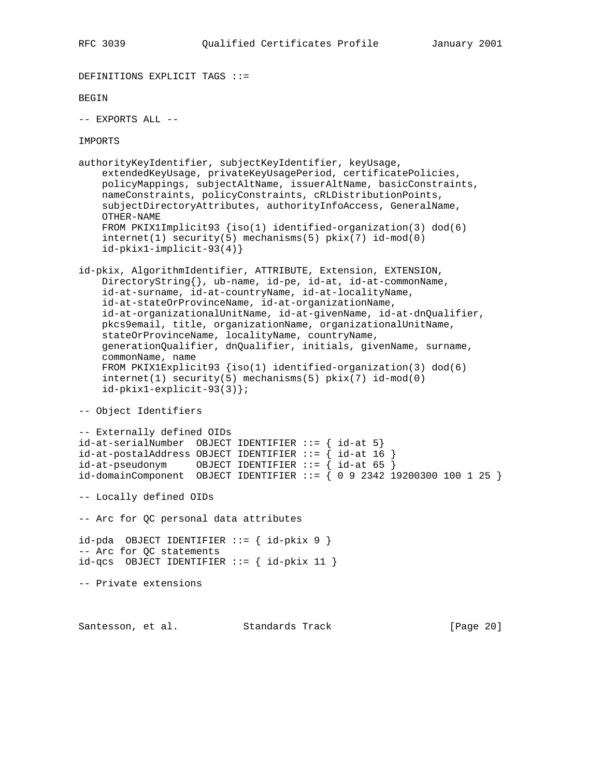```
DEFINITIONS EXPLICIT TAGS ::=
BEGIN
-- EXPORTS ALL --
IMPORTS
authorityKeyIdentifier, subjectKeyIdentifier, keyUsage,
     extendedKeyUsage, privateKeyUsagePeriod, certificatePolicies,
     policyMappings, subjectAltName, issuerAltName, basicConstraints,
    nameConstraints, policyConstraints, cRLDistributionPoints,
     subjectDirectoryAttributes, authorityInfoAccess, GeneralName,
     OTHER-NAME
     FROM PKIX1Implicit93 {iso(1) identified-organization(3) dod(6)
     internet(1) security(5) mechanisms(5) pkix(7) id-mod(0)
     id-pkix1-implicit-93(4)}
id-pkix, AlgorithmIdentifier, ATTRIBUTE, Extension, EXTENSION,
     DirectoryString{}, ub-name, id-pe, id-at, id-at-commonName,
     id-at-surname, id-at-countryName, id-at-localityName,
     id-at-stateOrProvinceName, id-at-organizationName,
     id-at-organizationalUnitName, id-at-givenName, id-at-dnQualifier,
    pkcs9email, title, organizationName, organizationalUnitName,
     stateOrProvinceName, localityName, countryName,
     generationQualifier, dnQualifier, initials, givenName, surname,
     commonName, name
     FROM PKIX1Explicit93 {iso(1) identified-organization(3) dod(6)
     internet(1) security(5) mechanisms(5) pkix(7) id-mod(0)
     id-pkix1-explicit-93(3)};
-- Object Identifiers
-- Externally defined OIDs
id-at-serialNumber OBJECT IDENTIFIER ::= { id-at 5}
id-at-postalAddress OBJECT IDENTIFYER ::=\{ id-at 16 \}id-at-pseudoonym OBJECT IDENTIFIER ::= { id-at 65 }
id-domainComponent OBJECT IDENTIFIER ::= { 0 9 2342 19200300 100 1 25 }
-- Locally defined OIDs
-- Arc for QC personal data attributes
id-pda OBJECT IDENTIFIER ::= { id-pkix 9 }
-- Arc for QC statements
id-qcs OBJECT IDENTIFIER ::= { id-pkix 11 }
-- Private extensions
```
Santesson, et al. Standards Track [Page 20]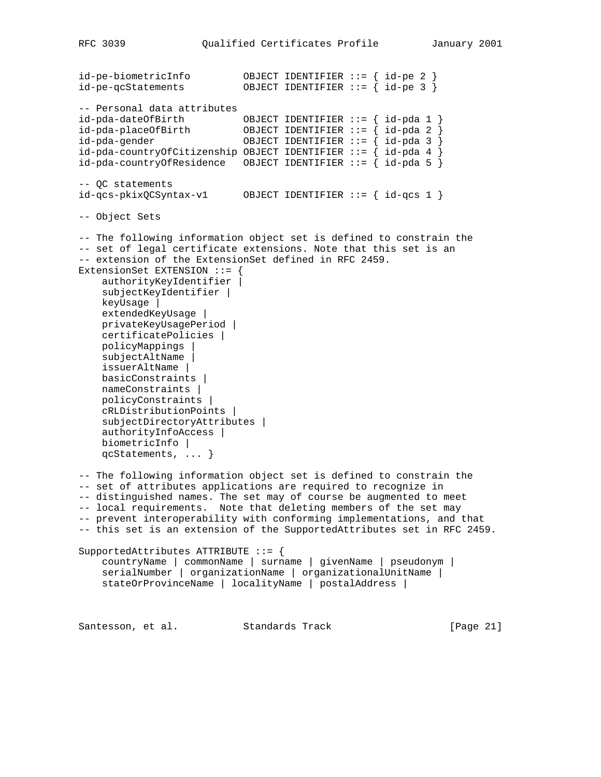id-pe-biometricInfo OBJECT IDENTIFIER ::= { id-pe 2 } id-pe-qcStatements OBJECT IDENTIFIER ::= { id-pe 3 } -- Personal data attributes id-pda-dateOfBirth OBJECT IDENTIFIER ::= { id-pda 1 } id-pda-placeOfBirth OBJECT IDENTIFIER ::= { id-pda 2 } id-pda-gender OBJECT IDENTIFIER ::= { id-pda 3 } id-pda-countryOfCitizenship OBJECT IDENTIFIER ::= { id-pda 4 }  $id$ -pda-countryOfResidence OBJECT IDENTIFIER ::= {  $id$ -pda 5 } -- QC statements id-qcs-pkixQCSyntax-v1 OBJECT IDENTIFIER ::= { id-qcs 1 } -- Object Sets -- The following information object set is defined to constrain the -- set of legal certificate extensions. Note that this set is an -- extension of the ExtensionSet defined in RFC 2459. ExtensionSet EXTENSION ::= { authorityKeyIdentifier | subjectKeyIdentifier | keyUsage | extendedKeyUsage | privateKeyUsagePeriod | certificatePolicies | policyMappings | subjectAltName | issuerAltName | basicConstraints | nameConstraints | policyConstraints | cRLDistributionPoints | subjectDirectoryAttributes | authorityInfoAccess | biometricInfo | qcStatements, ... } -- The following information object set is defined to constrain the -- set of attributes applications are required to recognize in -- distinguished names. The set may of course be augmented to meet -- local requirements. Note that deleting members of the set may -- prevent interoperability with conforming implementations, and that -- this set is an extension of the SupportedAttributes set in RFC 2459. SupportedAttributes ATTRIBUTE ::= { countryName | commonName | surname | givenName | pseudonym | serialNumber | organizationName | organizationalUnitName | stateOrProvinceName | localityName | postalAddress | Santesson, et al. Standards Track [Page 21]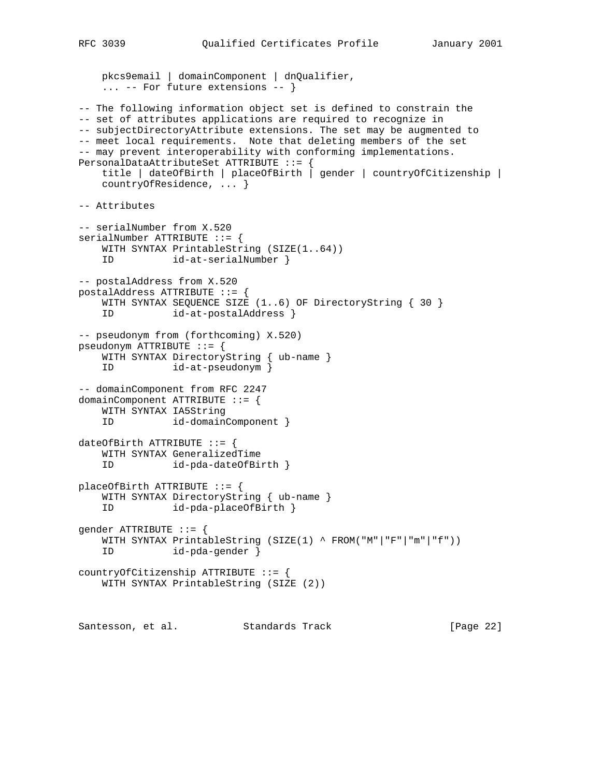```
 pkcs9email | domainComponent | dnQualifier,
     ... -- For future extensions -- }
-- The following information object set is defined to constrain the
-- set of attributes applications are required to recognize in
-- subjectDirectoryAttribute extensions. The set may be augmented to
-- meet local requirements. Note that deleting members of the set
-- may prevent interoperability with conforming implementations.
PersonalDataAttributeSet ATTRIBUTE ::= {
    title | dateOfBirth | placeOfBirth | gender | countryOfCitizenship |
    countryOfResidence, ... }
-- Attributes
-- serialNumber from X.520
serialNumber ATTRIBUTE ::= {
    WITH SYNTAX PrintableString (SIZE(1..64))
    ID id-at-serialNumber }
-- postalAddress from X.520
postalAddress ATTRIBUTE ::= {
   WITH SYNTAX SEQUENCE SIZE (1..6) OF DirectoryString { 30 }
    ID id-at-postalAddress }
-- pseudonym from (forthcoming) X.520)
pseudonym ATTRIBUTE ::= {
   WITH SYNTAX DirectoryString { ub-name }
    ID id-at-pseudonym }
-- domainComponent from RFC 2247
domainComponent ATTRIBUTE ::= {
    WITH SYNTAX IA5String
    ID id-domainComponent }
dateOfBirth ATTRIBUTE ::= {
    WITH SYNTAX GeneralizedTime
    ID id-pda-dateOfBirth }
placeOfBirth ATTRIBUTE ::= {
    WITH SYNTAX DirectoryString { ub-name }
    ID id-pda-placeOfBirth }
gender ATTRIBUTE ::= {
    WITH SYNTAX PrintableString (SIZE(1) ^ FROM("M"|"F"|"m"|"f"))
    ID id-pda-gender }
countryOfCitizenship ATTRIBUTE ::= {
    WITH SYNTAX PrintableString (SIZE (2))
Santesson, et al. Standards Track [Page 22]
```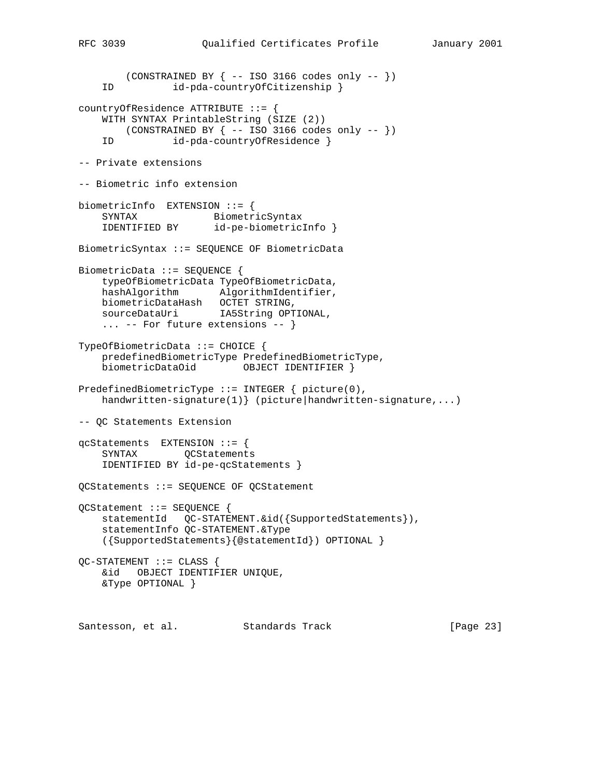```
 (CONSTRAINED BY { -- ISO 3166 codes only -- })
    ID id-pda-countryOfCitizenship }
countryOfResidence ATTRIBUTE ::= {
    WITH SYNTAX PrintableString (SIZE (2))
      (CONSTRAINED BY \{- - ISO 3166 codes only -- })
    ID id-pda-countryOfResidence }
-- Private extensions
-- Biometric info extension
biometricInfo EXTENSION ::= {
    SYNTAX BiometricSyntax
    IDENTIFIED BY id-pe-biometricInfo }
BiometricSyntax ::= SEQUENCE OF BiometricData
BiometricData ::= SEQUENCE {
    typeOfBiometricData TypeOfBiometricData,
    hashAlgorithm AlgorithmIdentifier,
    biometricDataHash OCTET STRING,
   sourceDataUri IA5String OPTIONAL,
    ... -- For future extensions -- }
TypeOfBiometricData ::= CHOICE {
    predefinedBiometricType PredefinedBiometricType,
    biometricDataOid OBJECT IDENTIFIER }
PredefinedBiometricType  ::= INTEGER \{ picture(0),
    handwritten-signature(1)} (picture|handwritten-signature,...)
-- QC Statements Extension
qcStatements EXTENSION ::= {
    SYNTAX QCStatements
    IDENTIFIED BY id-pe-qcStatements }
QCStatements ::= SEQUENCE OF QCStatement
QCStatement ::= SEQUENCE {
    statementId QC-STATEMENT.&id({SupportedStatements}),
    statementInfo QC-STATEMENT.&Type
    ({SupportedStatements}{@statementId}) OPTIONAL }
QC-STATEMENT ::= CLASS {
    &id OBJECT IDENTIFIER UNIQUE,
    &Type OPTIONAL }
Santesson, et al. Standards Track [Page 23]
```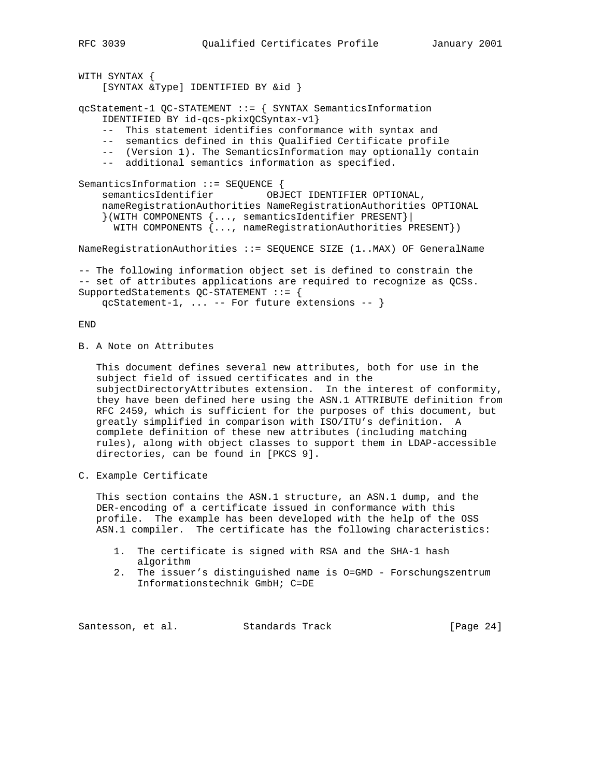```
WITH SYNTAX {
     [SYNTAX &Type] IDENTIFIED BY &id }
qcStatement-1 QC-STATEMENT ::= { SYNTAX SemanticsInformation
     IDENTIFIED BY id-qcs-pkixQCSyntax-v1}
     -- This statement identifies conformance with syntax and
     -- semantics defined in this Qualified Certificate profile
     -- (Version 1). The SemanticsInformation may optionally contain
     -- additional semantics information as specified.
SemanticsInformation ::= SEQUENCE {
    semanticsIdentifier OBJECT IDENTIFIER OPTIONAL,
     nameRegistrationAuthorities NameRegistrationAuthorities OPTIONAL
     }(WITH COMPONENTS {..., semanticsIdentifier PRESENT}|
       WITH COMPONENTS {..., nameRegistrationAuthorities PRESENT})
NameRegistrationAuthorities ::= SEQUENCE SIZE (1..MAX) OF GeneralName
-- The following information object set is defined to constrain the
-- set of attributes applications are required to recognize as QCSs.
SupportedStatements QC-STATEMENT ::= {
     qcStatement-1, ... -- For future extensions -- }
```
END

B. A Note on Attributes

 This document defines several new attributes, both for use in the subject field of issued certificates and in the subjectDirectoryAttributes extension. In the interest of conformity, they have been defined here using the ASN.1 ATTRIBUTE definition from RFC 2459, which is sufficient for the purposes of this document, but greatly simplified in comparison with ISO/ITU's definition. A complete definition of these new attributes (including matching rules), along with object classes to support them in LDAP-accessible directories, can be found in [PKCS 9].

C. Example Certificate

 This section contains the ASN.1 structure, an ASN.1 dump, and the DER-encoding of a certificate issued in conformance with this profile. The example has been developed with the help of the OSS ASN.1 compiler. The certificate has the following characteristics:

- 1. The certificate is signed with RSA and the SHA-1 hash algorithm
- 2. The issuer's distinguished name is O=GMD Forschungszentrum Informationstechnik GmbH; C=DE

Santesson, et al. Standards Track [Page 24]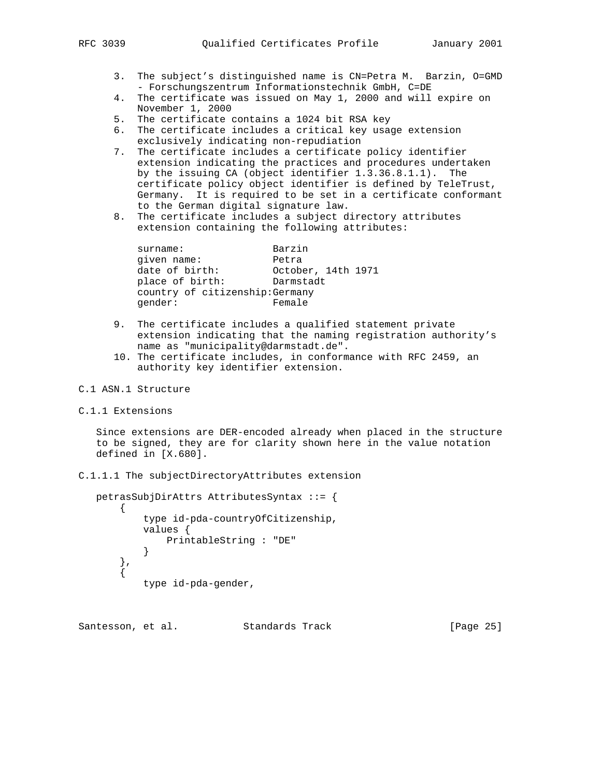- 3. The subject's distinguished name is CN=Petra M. Barzin, O=GMD - Forschungszentrum Informationstechnik GmbH, C=DE
- 4. The certificate was issued on May 1, 2000 and will expire on November 1, 2000
- 5. The certificate contains a 1024 bit RSA key
- 6. The certificate includes a critical key usage extension exclusively indicating non-repudiation
- 7. The certificate includes a certificate policy identifier extension indicating the practices and procedures undertaken by the issuing CA (object identifier 1.3.36.8.1.1). The certificate policy object identifier is defined by TeleTrust, Germany. It is required to be set in a certificate conformant to the German digital signature law.
- 8. The certificate includes a subject directory attributes extension containing the following attributes:

| surname:                        | Barzin             |  |
|---------------------------------|--------------------|--|
| qiven name:                     | Petra              |  |
| date of birth:                  | October, 14th 1971 |  |
| place of birth:                 | Darmstadt          |  |
| country of citizenship: Germany |                    |  |
| qender:                         | Female             |  |
|                                 |                    |  |

- 9. The certificate includes a qualified statement private extension indicating that the naming registration authority's name as "municipality@darmstadt.de".
- 10. The certificate includes, in conformance with RFC 2459, an authority key identifier extension.
- C.1 ASN.1 Structure
- C.1.1 Extensions

 Since extensions are DER-encoded already when placed in the structure to be signed, they are for clarity shown here in the value notation defined in [X.680].

C.1.1.1 The subjectDirectoryAttributes extension

```
 petrasSubjDirAttrs AttributesSyntax ::= {
      \{ type id-pda-countryOfCitizenship,
           values {
              PrintableString : "DE"
 }
       },
\{ type id-pda-gender,
```
Santesson, et al. Standards Track [Page 25]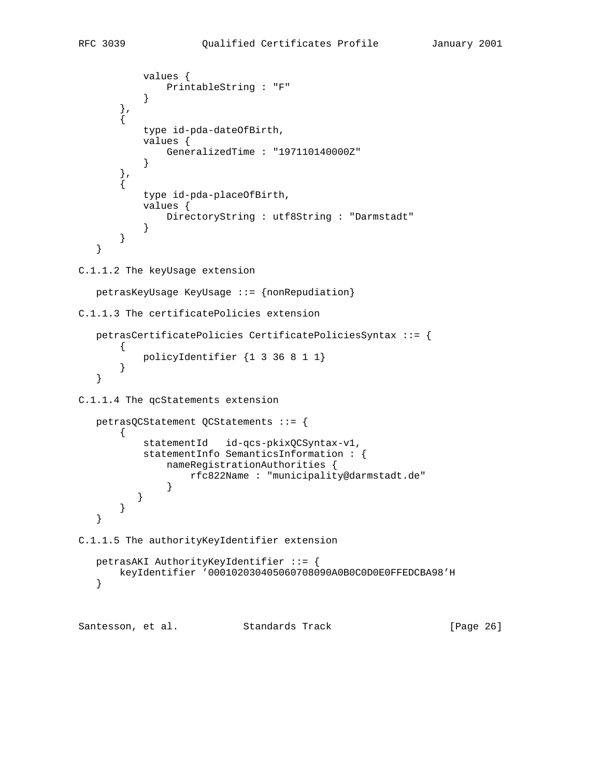```
 values {
           PrintableString : "F"<br>}
 }
        },
\{ type id-pda-dateOfBirth,
           values {
               GeneralizedTime : "197110140000Z"
 }
        },
\{ type id-pda-placeOfBirth,
           values {
               DirectoryString : utf8String : "Darmstadt"
 }
        }
    }
C.1.1.2 The keyUsage extension
   petrasKeyUsage KeyUsage ::= {nonRepudiation}
C.1.1.3 The certificatePolicies extension
   petrasCertificatePolicies CertificatePoliciesSyntax ::= {
       \mathcal{L} policyIdentifier {1 3 36 8 1 1}
        }
    }
C.1.1.4 The qcStatements extension
   petrasQCStatement QCStatements ::= {
        {
           statementId id-qcs-pkixQCSyntax-v1,
           statementInfo SemanticsInformation : {
               nameRegistrationAuthorities {
                   rfc822Name : "municipality@darmstadt.de"
 }
 }
       }
    }
C.1.1.5 The authorityKeyIdentifier extension
   petrasAKI AuthorityKeyIdentifier ::= {
       keyIdentifier '000102030405060708090A0B0C0D0E0FFEDCBA98'H
    }
```
Santesson, et al. Standards Track [Page 26]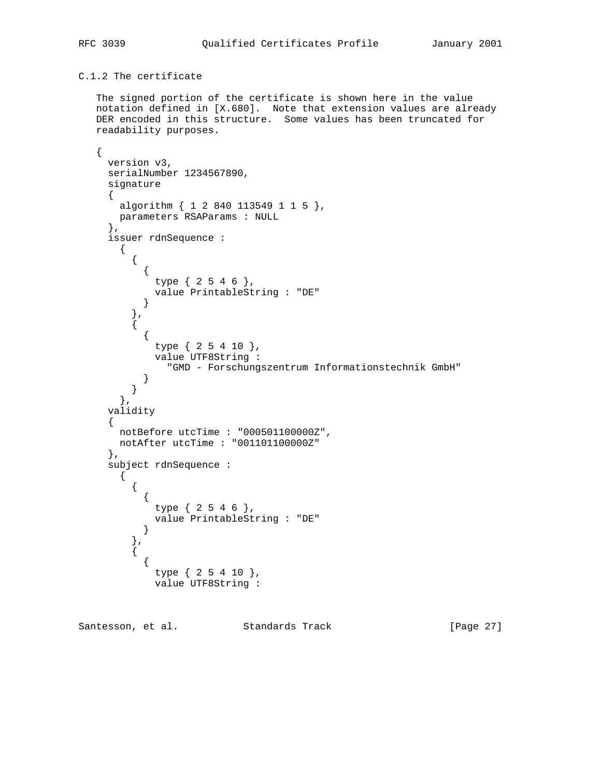# C.1.2 The certificate

 The signed portion of the certificate is shown here in the value notation defined in [X.680]. Note that extension values are already DER encoded in this structure. Some values has been truncated for readability purposes.

```
 {
     version v3,
     serialNumber 1234567890,
     signature
     {
       algorithm { 1 2 840 113549 1 1 5 },
      parameters RSAParams : NULL
     },
     issuer rdnSequence :
       {
         {
\{ type { 2 5 4 6 },
            value PrintableString : "DE"
           }
 },
\{\{ type { 2 5 4 10 },
             value UTF8String :
               "GMD - Forschungszentrum Informationstechnik GmbH"
        \begin{matrix} \end{matrix} }
       },
     validity
     {
       notBefore utcTime : "000501100000Z",
       notAfter utcTime : "001101100000Z"
     },
     subject rdnSequence :
       {
\{ {
             type { 2 5 4 6 },
             value PrintableString : "DE"
           }
 },
\{\{ type { 2 5 4 10 },
             value UTF8String :
```
Santesson, et al. Standards Track [Page 27]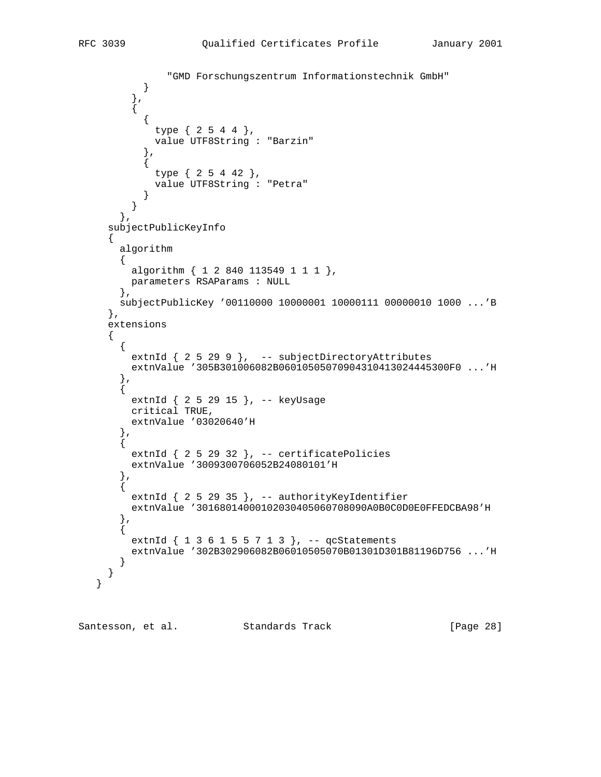}

```
 "GMD Forschungszentrum Informationstechnik GmbH"
 }
         },
\{\{ type { 2 5 4 4 },
             value UTF8String : "Barzin"
            },
\{ type { 2 5 4 42 },
             value UTF8String : "Petra"
 }
         }
       },
     subjectPublicKeyInfo
     {
       algorithm
       {
        algorithm { 1 2 840 113549 1 1 1 },
        parameters RSAParams : NULL
       },
       subjectPublicKey '00110000 10000001 10000111 00000010 1000 ...'B
     },
     extensions
     {
      \{extnId \{ 25299 \}, -- subjectDirectoryAttributes
         extnValue '305B301006082B06010505070904310413024445300F0 ...'H
        },
\{ extnId { 2 5 29 15 }, -- keyUsage
         critical TRUE,
         extnValue '03020640'H
       },
\{extnId \{ 2 5 29 32 \}, -- certificatePolicies
         extnValue '3009300706052B24080101'H
        },
\{extnId \{ 2 5 29 35 \}, -- authorityKeyIdentifier
         extnValue '30168014000102030405060708090A0B0C0D0E0FFEDCBA98'H
       },
       {
        extnId \{ 1 \ 3 \ 6 \ 1 \ 5 \ 5 \ 7 \ 1 \ 3 \}, -- qcStatements
         extnValue '302B302906082B06010505070B01301D301B81196D756 ...'H
       }
     }
```
Santesson, et al. Standards Track [Page 28]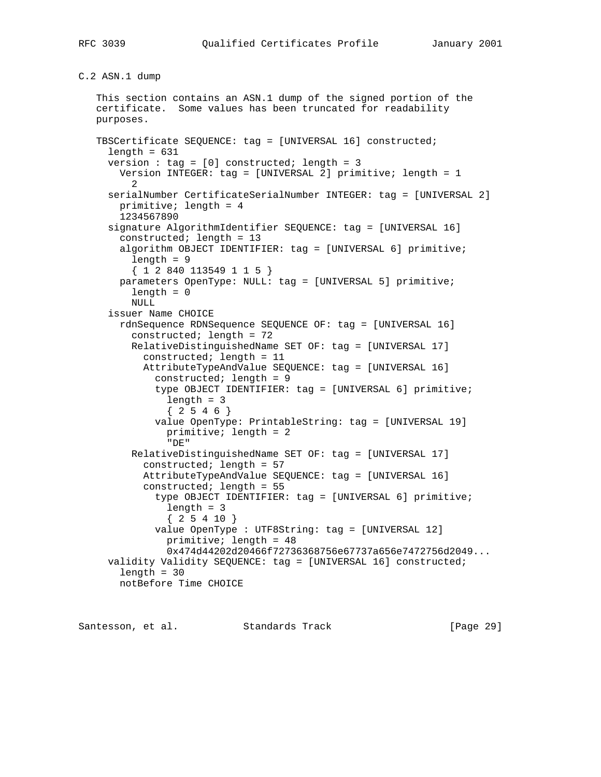C.2 ASN.1 dump

 This section contains an ASN.1 dump of the signed portion of the certificate. Some values has been truncated for readability purposes. TBSCertificate SEQUENCE: tag = [UNIVERSAL 16] constructed;  $length = 631$ version : tag =  $[0]$  constructed; length = 3 Version INTEGER: tag = [UNIVERSAL 2] primitive; length = 1 2 serialNumber CertificateSerialNumber INTEGER: tag = [UNIVERSAL 2] primitive; length = 4 1234567890 signature AlgorithmIdentifier SEQUENCE: tag = [UNIVERSAL 16] constructed; length = 13 algorithm OBJECT IDENTIFIER: tag = [UNIVERSAL 6] primitive;  $length = 9$  { 1 2 840 113549 1 1 5 } parameters OpenType: NULL: tag = [UNIVERSAL 5] primitive; length = 0 NULL issuer Name CHOICE rdnSequence RDNSequence SEQUENCE OF: tag = [UNIVERSAL 16] constructed; length = 72 RelativeDistinguishedName SET OF: tag = [UNIVERSAL 17] constructed; length = 11 AttributeTypeAndValue SEQUENCE: tag = [UNIVERSAL 16] constructed; length = 9 type OBJECT IDENTIFIER: tag = [UNIVERSAL 6] primitive; length = 3  ${2546}$  value OpenType: PrintableString: tag = [UNIVERSAL 19] primitive; length = 2 "DE" RelativeDistinguishedName SET OF: tag = [UNIVERSAL 17] constructed; length = 57 AttributeTypeAndValue SEQUENCE: tag = [UNIVERSAL 16] constructed; length = 55 type OBJECT IDENTIFIER: tag = [UNIVERSAL 6] primitive; length = 3 { 2 5 4 10 } value OpenType : UTF8String: tag = [UNIVERSAL 12] primitive; length = 48 0x474d44202d20466f72736368756e67737a656e7472756d2049... validity Validity SEQUENCE: tag = [UNIVERSAL 16] constructed;  $length = 30$ notBefore Time CHOICE

Santesson, et al. Standards Track [Page 29]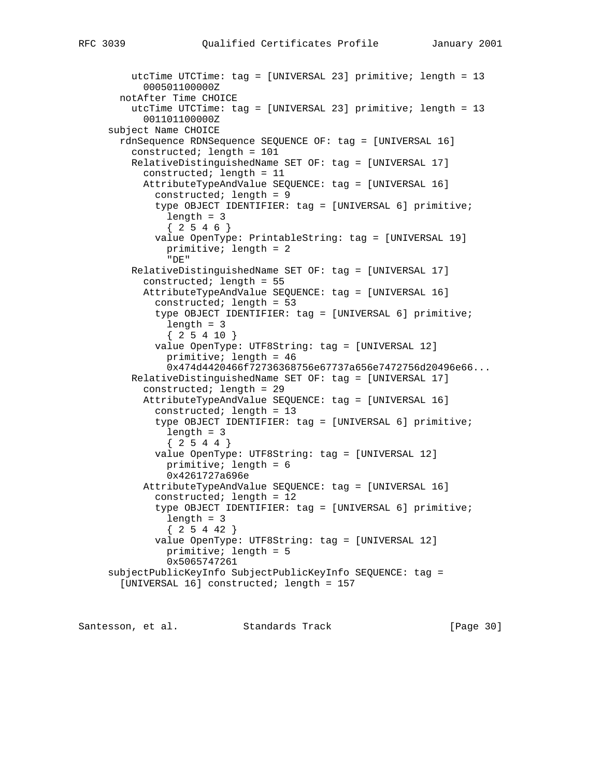```
 utcTime UTCTime: tag = [UNIVERSAL 23] primitive; length = 13
       000501100000Z
  notAfter Time CHOICE
     utcTime UTCTime: tag = [UNIVERSAL 23] primitive; length = 13
       001101100000Z
 subject Name CHOICE
  rdnSequence RDNSequence SEQUENCE OF: tag = [UNIVERSAL 16]
     constructed; length = 101
     RelativeDistinguishedName SET OF: tag = [UNIVERSAL 17]
       constructed; length = 11
       AttributeTypeAndValue SEQUENCE: tag = [UNIVERSAL 16]
         constructed; length = 9
         type OBJECT IDENTIFIER: tag = [UNIVERSAL 6] primitive;
           length = 3
          {2546} value OpenType: PrintableString: tag = [UNIVERSAL 19]
           primitive; length = 2
           "DE"
     RelativeDistinguishedName SET OF: tag = [UNIVERSAL 17]
       constructed; length = 55
       AttributeTypeAndValue SEQUENCE: tag = [UNIVERSAL 16]
         constructed; length = 53
         type OBJECT IDENTIFIER: tag = [UNIVERSAL 6] primitive;
           length = 3
          {25410} value OpenType: UTF8String: tag = [UNIVERSAL 12]
           primitive; length = 46
           0x474d4420466f72736368756e67737a656e7472756d20496e66...
     RelativeDistinguishedName SET OF: tag = [UNIVERSAL 17]
       constructed; length = 29
       AttributeTypeAndValue SEQUENCE: tag = [UNIVERSAL 16]
         constructed; length = 13
         type OBJECT IDENTIFIER: tag = [UNIVERSAL 6] primitive;
           length = 3
          {2544} value OpenType: UTF8String: tag = [UNIVERSAL 12]
           primitive; length = 6
           0x4261727a696e
       AttributeTypeAndValue SEQUENCE: tag = [UNIVERSAL 16]
         constructed; length = 12
         type OBJECT IDENTIFIER: tag = [UNIVERSAL 6] primitive;
           length = 3
           { 2 5 4 42 }
         value OpenType: UTF8String: tag = [UNIVERSAL 12]
           primitive; length = 5
           0x5065747261
 subjectPublicKeyInfo SubjectPublicKeyInfo SEQUENCE: tag =
   [UNIVERSAL 16] constructed; length = 157
```
Santesson, et al. Standards Track [Page 30]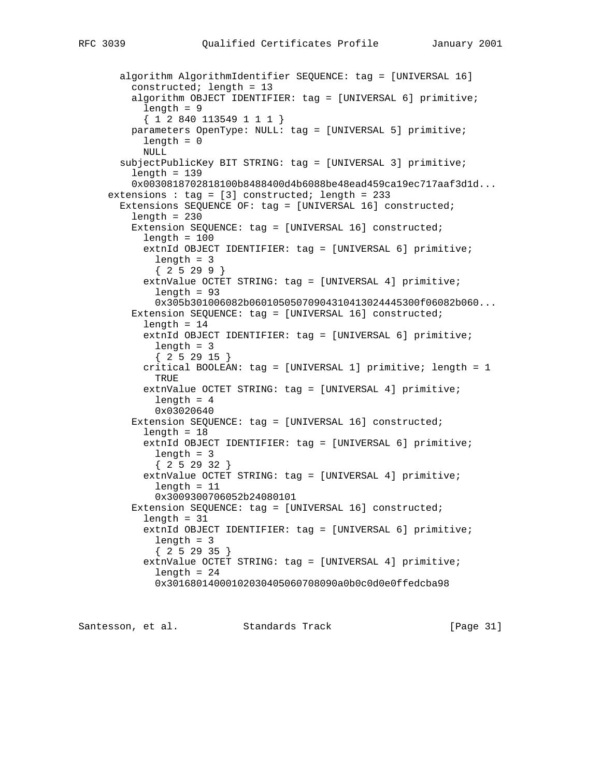```
 algorithm AlgorithmIdentifier SEQUENCE: tag = [UNIVERSAL 16]
     constructed; length = 13
     algorithm OBJECT IDENTIFIER: tag = [UNIVERSAL 6] primitive;
       length = 9
       { 1 2 840 113549 1 1 1 }
     parameters OpenType: NULL: tag = [UNIVERSAL 5] primitive;
       length = 0
       NULL
   subjectPublicKey BIT STRING: tag = [UNIVERSAL 3] primitive;
    length = 139 0x0030818702818100b8488400d4b6088be48ead459ca19ec717aaf3d1d...
 extensions : tag = [3] constructed; length = 233
   Extensions SEQUENCE OF: tag = [UNIVERSAL 16] constructed;
    length = 230 Extension SEQUENCE: tag = [UNIVERSAL 16] constructed;
      length = 100 extnId OBJECT IDENTIFIER: tag = [UNIVERSAL 6] primitive;
        length = 3
         { 2 5 29 9 }
       extnValue OCTET STRING: tag = [UNIVERSAL 4] primitive;
        length = 93 0x305b301006082b06010505070904310413024445300f06082b060...
     Extension SEQUENCE: tag = [UNIVERSAL 16] constructed;
      length = 14 extnId OBJECT IDENTIFIER: tag = [UNIVERSAL 6] primitive;
         length = 3
         { 2 5 29 15 }
       critical BOOLEAN: tag = [UNIVERSAL 1] primitive; length = 1
         TRUE
       extnValue OCTET STRING: tag = [UNIVERSAL 4] primitive;
         length = 4
         0x03020640
     Extension SEQUENCE: tag = [UNIVERSAL 16] constructed;
      length = 18 extnId OBJECT IDENTIFIER: tag = [UNIVERSAL 6] primitive;
         length = 3
         { 2 5 29 32 }
       extnValue OCTET STRING: tag = [UNIVERSAL 4] primitive;
        length = 11 0x3009300706052b24080101
     Extension SEQUENCE: tag = [UNIVERSAL 16] constructed;
      length = 31 extnId OBJECT IDENTIFIER: tag = [UNIVERSAL 6] primitive;
         length = 3
         { 2 5 29 35 }
       extnValue OCTET STRING: tag = [UNIVERSAL 4] primitive;
        length = 24 0x30168014000102030405060708090a0b0c0d0e0ffedcba98
```
Santesson, et al. Standards Track [Page 31]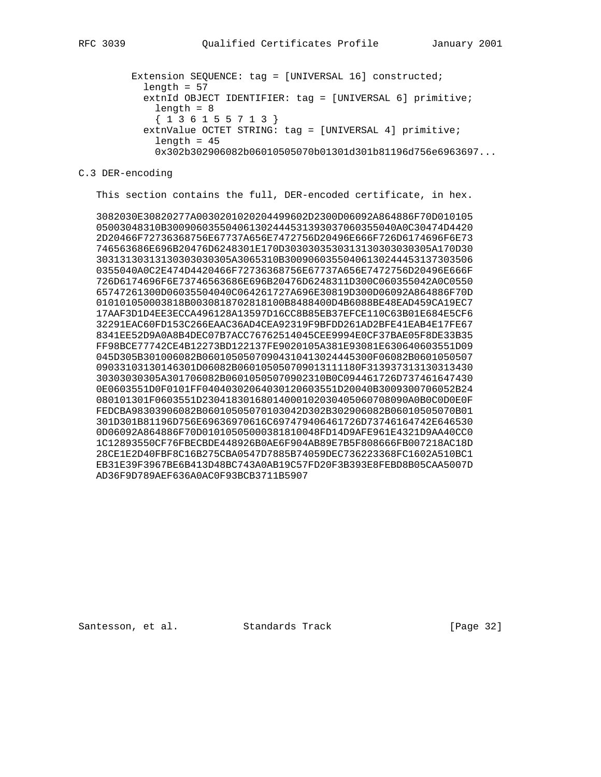Extension SEQUENCE: tag = [UNIVERSAL 16] constructed;  $length = 57$  extnId OBJECT IDENTIFIER: tag = [UNIVERSAL 6] primitive;  $length = 8$  { 1 3 6 1 5 5 7 1 3 } extnValue OCTET STRING: tag = [UNIVERSAL 4] primitive;  $length = 45$ 0x302b302906082b06010505070b01301d301b81196d756e6963697...

## C.3 DER-encoding

This section contains the full, DER-encoded certificate, in hex.

 3082030E30820277A0030201020204499602D2300D06092A864886F70D010105 05003048310B300906035504061302444531393037060355040A0C30474D4420 2D20466F72736368756E67737A656E7472756D20496E666F726D6174696F6E73 746563686E696B20476D6248301E170D3030303530313130303030305A170D30 30313130313130303030305A3065310B30090603550406130244453137303506 0355040A0C2E474D4420466F72736368756E67737A656E7472756D20496E666F 726D6174696F6E73746563686E696B20476D6248311D300C060355042A0C0550 65747261300D06035504040C064261727A696E30819D300D06092A864886F70D 010101050003818B0030818702818100B8488400D4B6088BE48EAD459CA19EC7 17AAF3D1D4EE3ECCA496128A13597D16CC8B85EB37EFCE110C63B01E684E5CF6 32291EAC60FD153C266EAAC36AD4CEA92319F9BFDD261AD2BFE41EAB4E17FE67 8341EE52D9A0A8B4DEC07B7ACC76762514045CEE9994E0CF37BAE05F8DE33B35 FF98BCE77742CE4B12273BD122137FE9020105A381E93081E630640603551D09 045D305B301006082B06010505070904310413024445300F06082B0601050507 09033103130146301D06082B060105050709013111180F313937313130313430 30303030305A301706082B06010505070902310B0C094461726D737461647430 0E0603551D0F0101FF04040302064030120603551D20040B3009300706052B24 080101301F0603551D23041830168014000102030405060708090A0B0C0D0E0F FEDCBA98303906082B06010505070103042D302B302906082B06010505070B01 301D301B81196D756E69636970616C697479406461726D73746164742E646530 0D06092A864886F70D01010505000381810048FD14D9AFE961E4321D9AA40CC0 1C12893550CF76FBECBDE448926B0AE6F904AB89E7B5F808666FB007218AC18D 28CE1E2D40FBF8C16B275CBA0547D7885B74059DEC736223368FC1602A510BC1 EB31E39F3967BE6B413D48BC743A0AB19C57FD20F3B393E8FEBD8B05CAA5007D AD36F9D789AEF636A0AC0F93BCB3711B5907

Santesson, et al. Standards Track [Page 32]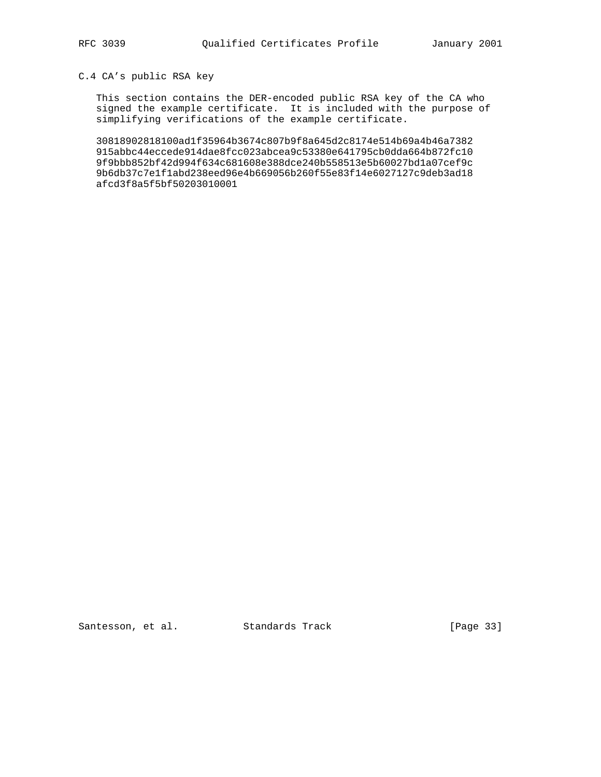# C.4 CA's public RSA key

 This section contains the DER-encoded public RSA key of the CA who signed the example certificate. It is included with the purpose of simplifying verifications of the example certificate.

 30818902818100ad1f35964b3674c807b9f8a645d2c8174e514b69a4b46a7382 915abbc44eccede914dae8fcc023abcea9c53380e641795cb0dda664b872fc10 9f9bbb852bf42d994f634c681608e388dce240b558513e5b60027bd1a07cef9c 9b6db37c7e1f1abd238eed96e4b669056b260f55e83f14e6027127c9deb3ad18 afcd3f8a5f5bf50203010001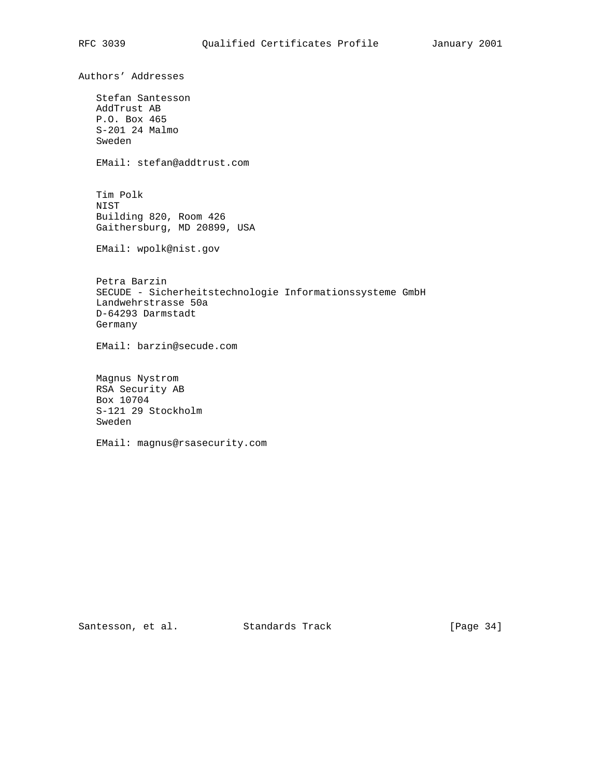Authors' Addresses Stefan Santesson AddTrust AB P.O. Box 465 S-201 24 Malmo Sweden EMail: stefan@addtrust.com Tim Polk NIST Building 820, Room 426 Gaithersburg, MD 20899, USA EMail: wpolk@nist.gov Petra Barzin SECUDE - Sicherheitstechnologie Informationssysteme GmbH Landwehrstrasse 50a D-64293 Darmstadt Germany EMail: barzin@secude.com Magnus Nystrom RSA Security AB Box 10704 S-121 29 Stockholm Sweden

EMail: magnus@rsasecurity.com

Santesson, et al. Standards Track [Page 34]